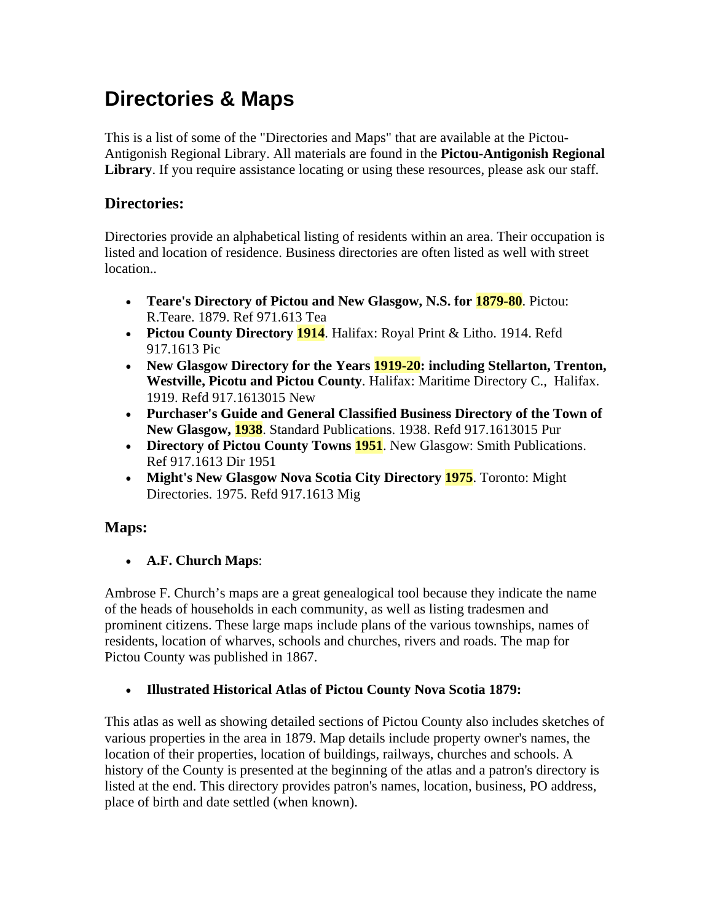## **Directories & Maps**

This is a list of some of the "Directories and Maps" that are available at the Pictou-Antigonish Regional Library. All materials are found in the **Pictou-Antigonish Regional**  Library. If you require assistance locating or using these resources, please ask our staff.

## **Directories:**

Directories provide an alphabetical listing of residents within an area. Their occupation is listed and location of residence. Business directories are often listed as well with street location...

- **Teare's Directory of Pictou and New Glasgow, N.S. for 1879-80**. Pictou: R.Teare. 1879. Ref 971.613 Tea
- **Pictou County Directory 1914.** Halifax: Royal Print & Litho. 1914. Refd 917.1613 Pic
- **New Glasgow Directory for the Years 1919-20: including Stellarton, Trenton, Westville, Picotu and Pictou County**. Halifax: Maritime Directory C., Halifax. 1919. Refd 917.1613015 New
- **Purchaser's Guide and General Classified Business Directory of the Town of New Glasgow, 1938**. Standard Publications. 1938. Refd 917.1613015 Pur
- **Directory of Pictou County Towns 1951**. New Glasgow: Smith Publications. Ref 917.1613 Dir 1951
- **Might's New Glasgow Nova Scotia City Directory 1975**. Toronto: Might Directories. 1975. Refd 917.1613 Mig

## **Maps:**

• **A.F. Church Maps**:

Ambrose F. Church's maps are a great genealogical tool because they indicate the name of the heads of households in each community, as well as listing tradesmen and prominent citizens. These large maps include plans of the various townships, names of residents, location of wharves, schools and churches, rivers and roads. The map for Pictou County was published in 1867.

## • **Illustrated Historical Atlas of Pictou County Nova Scotia 1879:**

This atlas as well as showing detailed sections of Pictou County also includes sketches of various properties in the area in 1879. Map details include property owner's names, the location of their properties, location of buildings, railways, churches and schools. A history of the County is presented at the beginning of the atlas and a patron's directory is listed at the end. This directory provides patron's names, location, business, PO address, place of birth and date settled (when known).